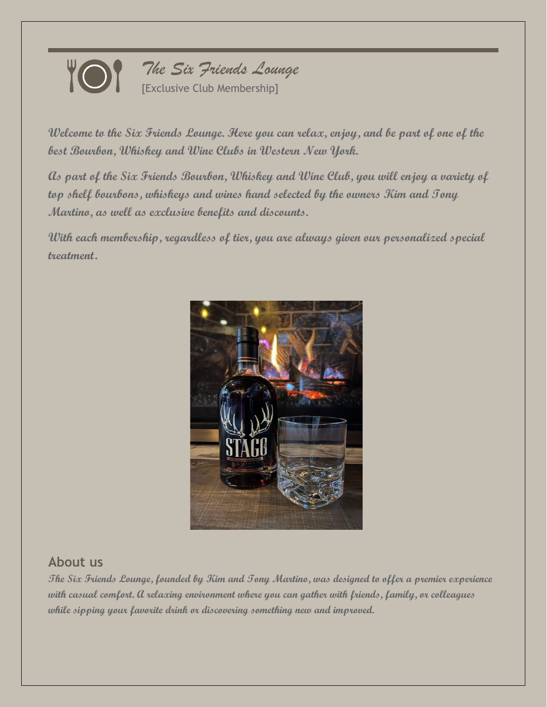

**Welcome to the Six Friends Lounge. Here you can relax, enjoy, and be part of one of the best Bourbon, Whiskey and Wine Clubs in Western New York.** 

**As part of the Six Friends Bourbon, Whiskey and Wine Club, you will enjoy a variety of top shelf bourbons, whiskeys and wines hand selected by the owners Kim and Tony Martino, as well as exclusive benefits and discounts.**

**With each membership, regardless of tier, you are always given our personalized special treatment**.



# **About us**

**The Six Friends Lounge, founded by Kim and Tony Martino, was designed to offer a premier experience with casual comfort. A relaxing environment where you can gather with friends, family, or colleagues while sipping your favorite drink or discovering something new and improved.**